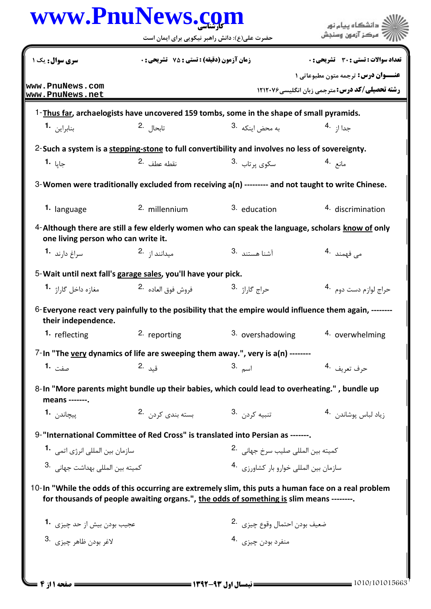|                                         | حضرت علی(ع): دانش راهبر نیکویی برای ایمان است                                                                                                                                                    |                                               |                                                                                                   |  |
|-----------------------------------------|--------------------------------------------------------------------------------------------------------------------------------------------------------------------------------------------------|-----------------------------------------------|---------------------------------------------------------------------------------------------------|--|
| سری سوال: یک ۱                          | <b>زمان آزمون (دقیقه) : تستی : 75 ٪ تشریحی : 0</b>                                                                                                                                               |                                               | تعداد سوالات : تستي : 30 ٪ تشريحي : 0                                                             |  |
| www.PnuNews.com<br> www.PnuNews.net     |                                                                                                                                                                                                  |                                               | <b>عنــوان درس:</b> ترجمه متون مطبوعاتی ۱<br><b>رشته تحصیلی/کد درس: مترجمی زبان انگلیسی۲۱۲۰۷۶</b> |  |
|                                         | 1-Thus far, archaelogists have uncovered 159 tombs, some in the shape of small pyramids.                                                                                                         |                                               |                                                                                                   |  |
| بنابراين 1.                             | تابحال 2.                                                                                                                                                                                        | به محض اینکه <sup>.3</sup>                    | جدا ا; <sup>.4</sup>                                                                              |  |
|                                         | 2-Such a system is a stepping-stone to full convertibility and involves no less of sovereignty.                                                                                                  |                                               |                                                                                                   |  |
| جايا <b>1۰</b>                          | 2. نقطه عطف                                                                                                                                                                                      | سکوی پرتاب <sup>.3</sup>                      | مانع .4                                                                                           |  |
|                                         | 3-Women were traditionally excluded from receiving a(n) --------- and not taught to write Chinese.                                                                                               |                                               |                                                                                                   |  |
| 1. language                             | 2. millennium                                                                                                                                                                                    | 3. education                                  | 4. discrimination                                                                                 |  |
| one living person who can write it.     | 4-Although there are still a few elderly women who can speak the language, scholars know of only                                                                                                 |                                               |                                                                                                   |  |
| سراغ دا <sub>د</sub> ند <b>1</b> ۰      | میدانند از 2.                                                                                                                                                                                    | 3. آشنا هستند                                 | مى فهمند .4                                                                                       |  |
|                                         | 5-Wait until next fall's garage sales, you'll have your pick.                                                                                                                                    |                                               |                                                                                                   |  |
| مغازه داخل گاراژ <b>1</b> ۰             | فروش فوق العاده 2.                                                                                                                                                                               | ح <sub>راج گاراژ .3</sub>                     | حراج لوازم دست دوم۔ <sup>4</sup>                                                                  |  |
| their independence.                     | 6-Everyone react very painfully to the posibility that the empire would influence them again, -------                                                                                            |                                               |                                                                                                   |  |
| 1. reflecting                           | 2. reporting                                                                                                                                                                                     | 3. overshadowing                              | 4. overwhelming                                                                                   |  |
|                                         | 7-In "The very dynamics of life are sweeping them away.", very is a(n) --------                                                                                                                  |                                               |                                                                                                   |  |
| صفت 1.                                  | قىد .2                                                                                                                                                                                           | 3. اسم                                        | حرف تعريف ق4                                                                                      |  |
| means -------.                          | 8-In "More parents might bundle up their babies, which could lead to overheating.", bundle up                                                                                                    |                                               |                                                                                                   |  |
| ييچاند <sub>ن</sub> <b>1.</b>           | بسته بندی کردن 2.                                                                                                                                                                                | تنبيه كردن <sup>.3</sup>                      | زياد لباس پوشاندن <sup>.4</sup>                                                                   |  |
|                                         | 9-"International Committee of Red Cross" is translated into Persian as -------.                                                                                                                  |                                               |                                                                                                   |  |
| سازمان بين المللي انرژي اتمي. <b>-1</b> |                                                                                                                                                                                                  | كميته بين المللي صليب سرخ جهاني <sup>.2</sup> |                                                                                                   |  |
| كميته بين المللي بهداشت جهاني .3        |                                                                                                                                                                                                  | سازمان بين المللي خوارو بار كشاورزي 4.        |                                                                                                   |  |
|                                         | 10-In "While the odds of this occurring are extremely slim, this puts a human face on a real problem<br>for thousands of people awaiting organs.", the odds of something is slim means --------. |                                               |                                                                                                   |  |
| عجيب بودن بيش از حد چيزي 1.             |                                                                                                                                                                                                  | ضعيف بودن احتمال وقوع چيزي 2.                 |                                                                                                   |  |
| لاغر بودن ظاهر چيزي .3                  |                                                                                                                                                                                                  | منفرد بودن چيزي .4                            |                                                                                                   |  |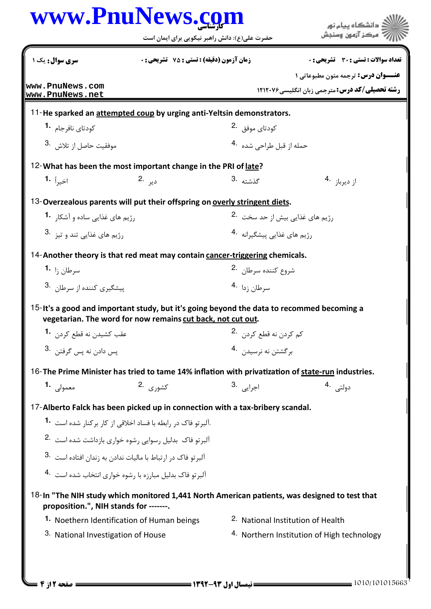|                                        | www.PnuNews.com<br>حضرت علی(ع): دانش راهبر نیکویی برای ایمان است                                                                                         |                                              | دانشگاه بیام نور<br>مركز آزمون وسنجش                                                                |
|----------------------------------------|----------------------------------------------------------------------------------------------------------------------------------------------------------|----------------------------------------------|-----------------------------------------------------------------------------------------------------|
| سری سوال : یک ۱                        | زمان آزمون (دقیقه) : تستی : 75 ٪ تشریحی : 0                                                                                                              |                                              | تعداد سوالات : تستي : 30 ٪ تشريحي : 0                                                               |
| www.PnuNews.com                        |                                                                                                                                                          |                                              | <b>عنــوان درس:</b> ترجمه متون مطبوعاتی 1<br><b>رشته تحصیلی/کد درس: مترجمی زبان انگلیسی ۱۲۱۲۰۷۶</b> |
| www.PnuNews.net                        |                                                                                                                                                          |                                              |                                                                                                     |
| كودتاي نافرجام   • 1                   | 11-He sparked an attempted coup by urging anti-Yeltsin demonstrators.                                                                                    | کودتای موفق <sup>.2</sup>                    |                                                                                                     |
| موفقيت حاصل از تلاش .3                 |                                                                                                                                                          | حمله از قبل طراحی شده 4.                     |                                                                                                     |
|                                        | 12-What has been the most important change in the PRI of late?                                                                                           |                                              |                                                                                                     |
| اخي <sub>راً</sub> 1 <b>.</b>          | دير .2                                                                                                                                                   | 3. ئىشتە                                     | از دیرباز <sup>4</sup> ۰                                                                            |
|                                        | 13-Overzealous parents will put their offspring on overly stringent diets.                                                                               |                                              |                                                                                                     |
| رژیم های غذایی ساده و آشکار 1.         |                                                                                                                                                          | رژیم های غذایی بیش از حد سخت <sup>.2</sup>   |                                                                                                     |
| 3. رژيم هاي غذايي تند و تيز            |                                                                                                                                                          | رژیم های غذایی پیشگیرانه <sup>4.</sup>       |                                                                                                     |
|                                        | 14-Another theory is that red meat may contain cancer-triggering chemicals.                                                                              |                                              |                                                                                                     |
| سرطان ;ا <b>1</b> ۰                    |                                                                                                                                                          | شروع كننده سرطان <sup>.2</sup>               |                                                                                                     |
| ییشگیری کننده از سرطان <sup>3</sup> ۰  |                                                                                                                                                          | 4. اسرطان ; دا                               |                                                                                                     |
|                                        | 15-It's a good and important study, but it's going beyond the data to recommed becoming a<br>vegetarian. The word for now remains cut back, not cut out. |                                              |                                                                                                     |
| عقب كشيدن نه قطع كردن 1.               |                                                                                                                                                          | كم كردن نه قطع كردن 2.                       |                                                                                                     |
| يس دادن نه پس گرفتن .3                 |                                                                                                                                                          | بر گشتن نه نرسیدن 4.                         |                                                                                                     |
|                                        | 16-The Prime Minister has tried to tame 14% inflation with privatization of state-run industries.                                                        |                                              |                                                                                                     |
| معمولی 1.                              | كشو <sub>ر</sub> ى 2.                                                                                                                                    | اج <sub>رايي</sub> .3                        | دولتى .4                                                                                            |
|                                        | 17-Alberto Falck has been picked up in connection with a tax-bribery scandal.                                                                            |                                              |                                                                                                     |
|                                        | .آلبر تو فاک در رابطه با فساد اخلاقی از کار برکنار شده است <b>1</b> ۰                                                                                    |                                              |                                                                                                     |
|                                        | ۔<br>آلبر تو فاک بدلیل رسوایی رشوہ خواری بازداشت شدہ است <sup>.2</sup>                                                                                   |                                              |                                                                                                     |
|                                        | آلبر تو فاک در ارتباط با مالیات ندادن به زندان افتاده است <sup>.3</sup>                                                                                  |                                              |                                                                                                     |
|                                        | آلبر تو فاک بدلیل مبارزه با رشوه خواری انتخاب شده است <sup>4</sup> ۰                                                                                     |                                              |                                                                                                     |
| proposition.", NIH stands for -------. | 18-In "The NIH study which monitored 1,441 North American patients, was designed to test that                                                            |                                              |                                                                                                     |
|                                        | 1. Noethern Identification of Human beings                                                                                                               | <sup>2.</sup> National Institution of Health |                                                                                                     |
| 3. National Investigation of House     |                                                                                                                                                          |                                              | <sup>4.</sup> Northern Institution of High technology                                               |

J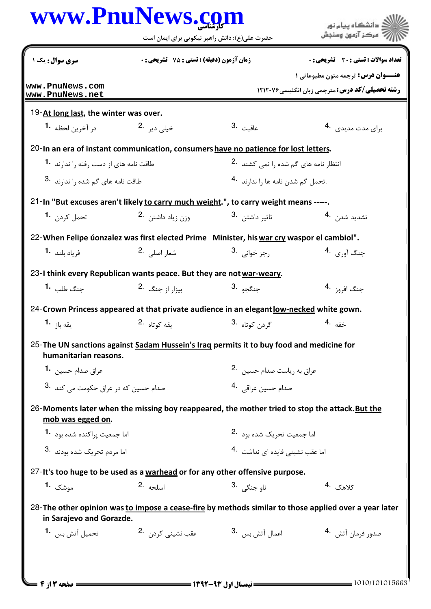|                                                           | www.PnuNews.com<br>حضرت علی(ع): دانش راهبر نیکویی برای ایمان است                               |                                                  | ے<br>اگ دانشگاہ پیام نو <b>ر</b><br>" مرڪز آزمون وسنڊش                                                |
|-----------------------------------------------------------|------------------------------------------------------------------------------------------------|--------------------------------------------------|-------------------------------------------------------------------------------------------------------|
| سری سوال: یک ۱                                            | <b>زمان آزمون (دقیقه) : تستی : 75 تشریحی : 0</b>                                               |                                                  | <b>تعداد سوالات : تستی : 30 ٪ تشریحی : 0</b>                                                          |
| www.PnuNews.com                                           |                                                                                                |                                                  | <b>عنــوان درس:</b> ترجمه متون مطبوعاتی ۱                                                             |
| www.PnuNews.net                                           |                                                                                                |                                                  | <b>رشته تحصیلی/کد درس: مترجمی زبان انگلیسی ۱۲۱۲۰۷۶</b>                                                |
| 19-At long last, the winter was over.                     |                                                                                                |                                                  |                                                                                                       |
| در آخرين لحظه <b>1</b>                                    | خیلی دیر 2.                                                                                    | 3. عاقبت                                         | برای مدت مدیدی . 4                                                                                    |
|                                                           | 20-In an era of instant communication, consumers have no patience for lost letters.            |                                                  |                                                                                                       |
| طاقت نامه های از دست رفته را ندارند <b>1۰</b>             |                                                                                                | انتظار نامه های گم شده را نمی کشند <sup>.2</sup> |                                                                                                       |
| طاقت نامه های گم شده را ندا <sub>ر</sub> ند <sup>.3</sup> |                                                                                                | .تحمل گم شدن نامه ها را ندارند <sup>4</sup> ۰    |                                                                                                       |
|                                                           | 21-In "But excuses aren't likely to carry much weight.", to carry weight means -----.          |                                                  |                                                                                                       |
| تحمل کردن <b>۔1</b>                                       | وزن زياد داشتن 2.                                                                              | تاثىر داشتن <sup>.3</sup>                        | تشديد شدن 4.                                                                                          |
|                                                           | 22- When Felipe úonzalez was first elected Prime Minister, his war cry waspor el cambiol".     |                                                  |                                                                                                       |
| فرياد بلند <b>1</b> ۰                                     | شعا <sub>ر</sub> اصلے . 2                                                                      | رجز خواني <sup>.3</sup>                          | جنگ آ <sub>ور ک</sub> ی <sup>4</sup> ۰                                                                |
|                                                           | 23-I think every Republican wants peace. But they are not war-weary.                           |                                                  |                                                                                                       |
| جنگ طلب <b>1۰</b>                                         | بیزار از جنگ <sup>2</sup> ۰                                                                    | <sup>3.</sup> جنگجو                              | جنگ اف <sub>روز</sub> .4                                                                              |
|                                                           | 24-Crown Princess appeared at that private audience in an elegant low-necked white gown.       |                                                  |                                                                                                       |
| يقه باز <b>1</b>                                          | يقه كوتاه .2                                                                                   | گردن کوتاه <sup>.3</sup>                         | خفه .4                                                                                                |
| humanitarian reasons.                                     | 25-The UN sanctions against Sadam Hussein's Iraq permits it to buy food and medicine for       |                                                  |                                                                                                       |
| عراق صدام حسين۔ 1                                         |                                                                                                | عراق به رياست صدام حسين 2.                       |                                                                                                       |
| صدام حسین که د <sub>ر</sub> عراق حکومت مے کند 3.          |                                                                                                | صدام حسين عراقي. 4                               |                                                                                                       |
| mob was egged on.                                         | 26-Moments later when the missing boy reappeared, the mother tried to stop the attack. But the |                                                  |                                                                                                       |
| اما جمعیت پراکنده شده بود 1.                              |                                                                                                | اما جمعیت تحریک شده بود 2.                       |                                                                                                       |
| اما مردم تحريک شده بودند <sup>.3</sup>                    |                                                                                                | اما عقب نشيني فايده اي نداشت   .4                |                                                                                                       |
|                                                           | 27-It's too huge to be used as a warhead or for any other offensive purpose.                   |                                                  |                                                                                                       |
| موشک <b>1.</b>                                            | 2. اسلحه                                                                                       | ناو جنگے <sub>،</sub> 3.                         | كلاهك .4                                                                                              |
| in Sarajevo and Gorazde.                                  |                                                                                                |                                                  | 28-The other opinion was to impose a cease-fire by methods similar to those applied over a year later |
| تحميل آتش بس <b>1</b> ۰                                   | عقب نشینی کرد <sub>ن</sub> 2.                                                                  | اعمال آتش بس                                     | صدور فرمان آتش . 4                                                                                    |